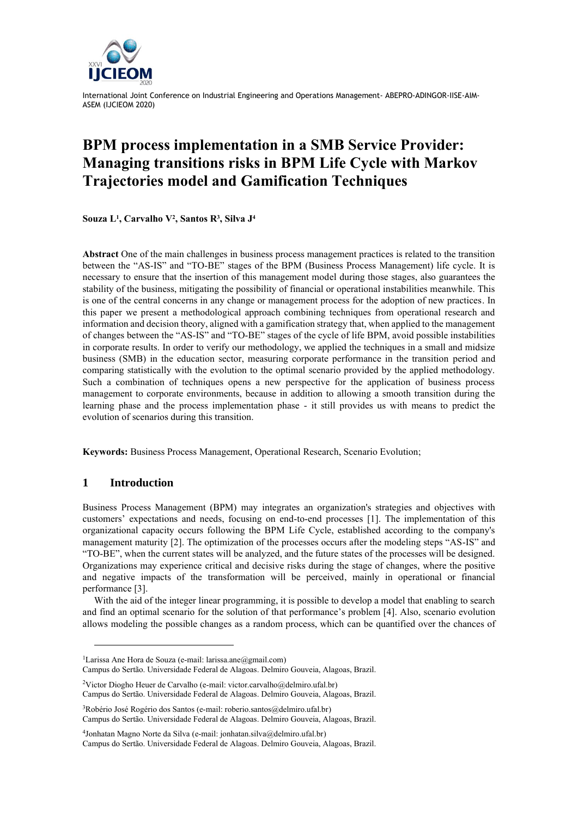

International Joint Conference on Industrial Engineering and Operations Management- ABEPRO-ADINGOR-IISE-AIM-ASEM (IJCIEOM 2020)

# **BPM process implementation in a SMB Service Provider: Managing transitions risks in BPM Life Cycle with Markov Trajectories model and Gamification Techniques**

**Souza L<sup>1</sup> , Carvalho V<sup>2</sup> , Santos R<sup>3</sup> , Silva J 4**

**Abstract** One of the main challenges in business process management practices is related to the transition between the "AS-IS" and "TO-BE" stages of the BPM (Business Process Management) life cycle. It is necessary to ensure that the insertion of this management model during those stages, also guarantees the stability of the business, mitigating the possibility of financial or operational instabilities meanwhile. This is one of the central concerns in any change or management process for the adoption of new practices. In this paper we present a methodological approach combining techniques from operational research and information and decision theory, aligned with a gamification strategy that, when applied to the management of changes between the "AS-IS" and "TO-BE" stages of the cycle of life BPM, avoid possible instabilities in corporate results. In order to verify our methodology, we applied the techniques in a small and midsize business (SMB) in the education sector, measuring corporate performance in the transition period and comparing statistically with the evolution to the optimal scenario provided by the applied methodology. Such a combination of techniques opens a new perspective for the application of business process management to corporate environments, because in addition to allowing a smooth transition during the learning phase and the process implementation phase - it still provides us with means to predict the evolution of scenarios during this transition.

**Keywords:** Business Process Management, Operational Research, Scenario Evolution;

### **1 Introduction**

Business Process Management (BPM) may integrates an organization's strategies and objectives with customers' expectations and needs, focusing on end-to-end processes [1]. The implementation of this organizational capacity occurs following the BPM Life Cycle, established according to the company's management maturity [2]. The optimization of the processes occurs after the modeling steps "AS-IS" and "TO-BE", when the current states will be analyzed, and the future states of the processes will be designed. Organizations may experience critical and decisive risks during the stage of changes, where the positive and negative impacts of the transformation will be perceived, mainly in operational or financial performance [3].

With the aid of the integer linear programming, it is possible to develop a model that enabling to search and find an optimal scenario for the solution of that performance's problem [4]. Also, scenario evolution allows modeling the possible changes as a random process, which can be quantified over the chances of

<sup>1</sup>Larissa Ane Hora de Souza (e-mail: larissa.ane@gmail.com)

Campus do Sertão. Universidade Federal de Alagoas. Delmiro Gouveia, Alagoas, Brazil.

<sup>&</sup>lt;sup>2</sup>Victor Diogho Heuer de Carvalho (e-mail: victor.carvalho@delmiro.ufal.br) Campus do Sertão. Universidade Federal de Alagoas. Delmiro Gouveia, Alagoas, Brazil.

<sup>&</sup>lt;sup>3</sup>Robério José Rogério dos Santos (e-mail: roberio.santos@delmiro.ufal.br) Campus do Sertão. Universidade Federal de Alagoas. Delmiro Gouveia, Alagoas, Brazil.

<sup>4</sup> Jonhatan Magno Norte da Silva (e-mail: jonhatan.silva@delmiro.ufal.br) Campus do Sertão. Universidade Federal de Alagoas. Delmiro Gouveia, Alagoas, Brazil.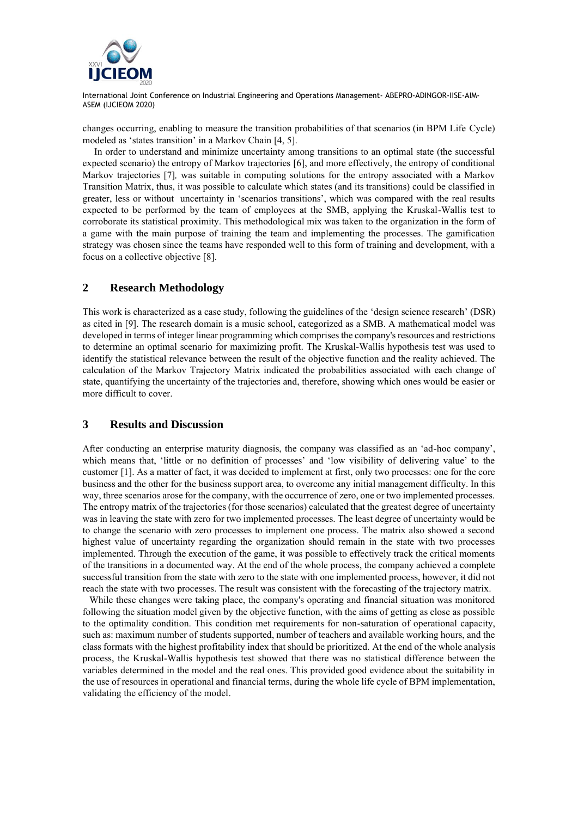

International Joint Conference on Industrial Engineering and Operations Management- ABEPRO-ADINGOR-IISE-AIM-ASEM (IJCIEOM 2020)

changes occurring, enabling to measure the transition probabilities of that scenarios (in BPM Life Cycle) modeled as 'states transition' in a Markov Chain [4, 5].

In order to understand and minimize uncertainty among transitions to an optimal state (the successful expected scenario) the entropy of Markov trajectories [6], and more effectively, the entropy of conditional Markov trajectories [7]*,* was suitable in computing solutions for the entropy associated with a Markov Transition Matrix, thus, it was possible to calculate which states (and its transitions) could be classified in greater, less or without uncertainty in 'scenarios transitions', which was compared with the real results expected to be performed by the team of employees at the SMB, applying the Kruskal-Wallis test to corroborate its statistical proximity. This methodological mix was taken to the organization in the form of a game with the main purpose of training the team and implementing the processes. The gamification strategy was chosen since the teams have responded well to this form of training and development, with a focus on a collective objective [8].

#### **2 Research Methodology**

This work is characterized as a case study, following the guidelines of the 'design science research' (DSR) as cited in [9]. The research domain is a music school, categorized as a SMB. A mathematical model was developed in terms of integer linear programming which comprises the company's resources and restrictions to determine an optimal scenario for maximizing profit. The Kruskal-Wallis hypothesis test was used to identify the statistical relevance between the result of the objective function and the reality achieved. The calculation of the Markov Trajectory Matrix indicated the probabilities associated with each change of state, quantifying the uncertainty of the trajectories and, therefore, showing which ones would be easier or more difficult to cover.

#### **3 Results and Discussion**

After conducting an enterprise maturity diagnosis, the company was classified as an 'ad-hoc company', which means that, 'little or no definition of processes' and 'low visibility of delivering value' to the customer [1]. As a matter of fact, it was decided to implement at first, only two processes: one for the core business and the other for the business support area, to overcome any initial management difficulty. In this way, three scenarios arose for the company, with the occurrence of zero, one or two implemented processes. The entropy matrix of the trajectories (for those scenarios) calculated that the greatest degree of uncertainty was in leaving the state with zero for two implemented processes. The least degree of uncertainty would be to change the scenario with zero processes to implement one process. The matrix also showed a second highest value of uncertainty regarding the organization should remain in the state with two processes implemented. Through the execution of the game, it was possible to effectively track the critical moments of the transitions in a documented way. At the end of the whole process, the company achieved a complete successful transition from the state with zero to the state with one implemented process, however, it did not reach the state with two processes. The result was consistent with the forecasting of the trajectory matrix.

While these changes were taking place, the company's operating and financial situation was monitored following the situation model given by the objective function, with the aims of getting as close as possible to the optimality condition. This condition met requirements for non-saturation of operational capacity, such as: maximum number of students supported, number of teachers and available working hours, and the class formats with the highest profitability index that should be prioritized. At the end of the whole analysis process, the Kruskal-Wallis hypothesis test showed that there was no statistical difference between the variables determined in the model and the real ones. This provided good evidence about the suitability in the use of resources in operational and financial terms, during the whole life cycle of BPM implementation, validating the efficiency of the model.